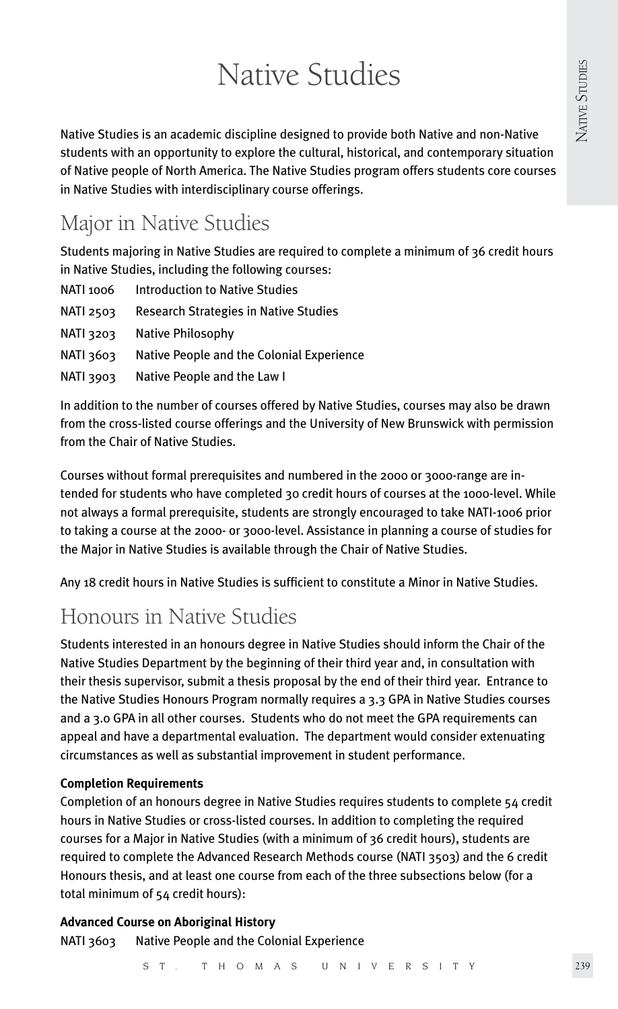# Native Studies

Native Studies is an academic discipline designed to provide both Native and non-Native students with an opportunity to explore the cultural, historical, and contemporary situation of Native people of North America. The Native Studies program offers students core courses in Native Studies with interdisciplinary course offerings.

# Major in Native Studies

Students majoring in Native Studies are required to complete a minimum of 36 credit hours in Native Studies, including the following courses:

| NATI 1006        | <b>Introduction to Native Studies</b>        |
|------------------|----------------------------------------------|
| <b>NATI 2503</b> | <b>Research Strategies in Native Studies</b> |
| <b>NATI 3203</b> | Native Philosophy                            |
| RATI 3603        | Native People and the Colonial Experience    |
| <b>NATI 3903</b> | Native People and the Law I                  |

In addition to the number of courses offered by Native Studies, courses may also be drawn from the cross-listed course offerings and the University of New Brunswick with permission from the Chair of Native Studies.

Courses without formal prerequisites and numbered in the 2000 or 3000-range are intended for students who have completed 30 credit hours of courses at the 1000-level. While not always a formal prerequisite, students are strongly encouraged to take NATI-1006 prior to taking a course at the 2000- or 3000-level. Assistance in planning a course of studies for the Major in Native Studies is available through the Chair of Native Studies.

Any 18 credit hours in Native Studies is sufficient to constitute a Minor in Native Studies.

# Honours in Native Studies

Students interested in an honours degree in Native Studies should inform the Chair of the Native Studies Department by the beginning of their third year and, in consultation with their thesis supervisor, submit a thesis proposal by the end of their third year. Entrance to the Native Studies Honours Program normally requires a 3.3 GPA in Native Studies courses and a 3.0 GPA in all other courses. Students who do not meet the GPA requirements can appeal and have a departmental evaluation. The department would consider extenuating circumstances as well as substantial improvement in student performance.

# **Completion Requirements**

Completion of an honours degree in Native Studies requires students to complete 54 credit hours in Native Studies or cross-listed courses. In addition to completing the required courses for a Major in Native Studies (with a minimum of 36 credit hours), students are required to complete the Advanced Research Methods course (NATI 3503) and the 6 credit Honours thesis, and at least one course from each of the three subsections below (for a total minimum of 54 credit hours):

# **Advanced Course on Aboriginal History** NATI 3603 Native People and the Colonial Experience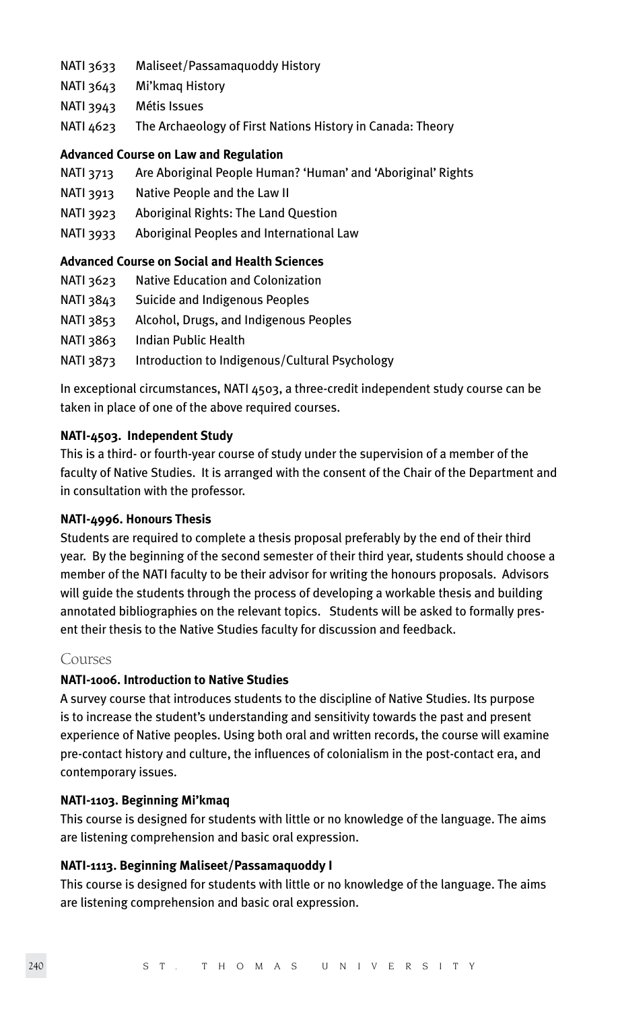- NATI 3633 Maliseet/Passamaquoddy History
- NATI 3643 Mi'kmaq History
- NATI 3943 Métis Issues
- NATI 4623 The Archaeology of First Nations History in Canada: Theory

#### **Advanced Course on Law and Regulation**

- NATI 3713 Are Aboriginal People Human? 'Human' and 'Aboriginal' Rights
- NATI 3913 Native People and the Law II
- NATI 3923 Aboriginal Rights: The Land Question
- NATI 3933 Aboriginal Peoples and International Law

# **Advanced Course on Social and Health Sciences**

| NATI 3623 | Native Education and Colonization |
|-----------|-----------------------------------|
|-----------|-----------------------------------|

- NATI 3843 Suicide and Indigenous Peoples
- NATI 3853 Alcohol, Drugs, and Indigenous Peoples
- NATI 3863 Indian Public Health
- NATI 3873 Introduction to Indigenous/Cultural Psychology

In exceptional circumstances, NATI 4503, a three-credit independent study course can be taken in place of one of the above required courses.

#### **NATI-4503. Independent Study**

This is a third- or fourth-year course of study under the supervision of a member of the faculty of Native Studies. It is arranged with the consent of the Chair of the Department and in consultation with the professor.

# **NATI-4996. Honours Thesis**

Students are required to complete a thesis proposal preferably by the end of their third year. By the beginning of the second semester of their third year, students should choose a member of the NATI faculty to be their advisor for writing the honours proposals. Advisors will guide the students through the process of developing a workable thesis and building annotated bibliographies on the relevant topics. Students will be asked to formally present their thesis to the Native Studies faculty for discussion and feedback.

#### Courses

# **NATI-1006. Introduction to Native Studies**

A survey course that introduces students to the discipline of Native Studies. Its purpose is to increase the student's understanding and sensitivity towards the past and present experience of Native peoples. Using both oral and written records, the course will examine pre-contact history and culture, the influences of colonialism in the post-contact era, and contemporary issues.

#### **NATI-1103. Beginning Mi'kmaq**

This course is designed for students with little or no knowledge of the language. The aims are listening comprehension and basic oral expression.

# **NATI-1113. Beginning Maliseet/Passamaquoddy I**

This course is designed for students with little or no knowledge of the language. The aims are listening comprehension and basic oral expression.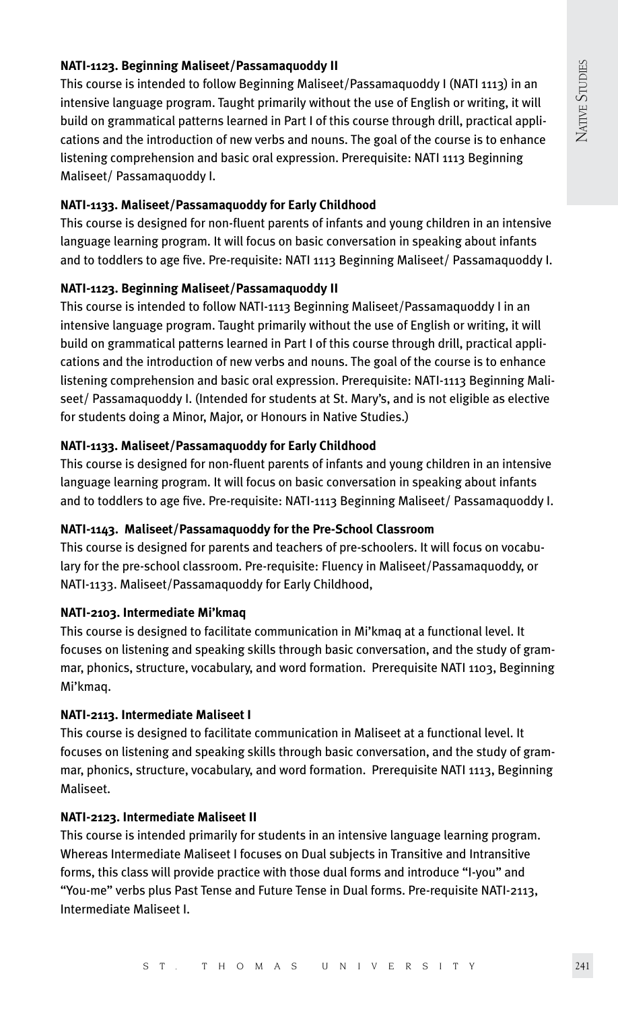# **NATI-1123. Beginning Maliseet/Passamaquoddy II**

This course is intended to follow Beginning Maliseet/Passamaquoddy I (NATI 1113) in an intensive language program. Taught primarily without the use of English or writing, it will build on grammatical patterns learned in Part I of this course through drill, practical applications and the introduction of new verbs and nouns. The goal of the course is to enhance listening comprehension and basic oral expression. Prerequisite: NATI 1113 Beginning Maliseet/ Passamaquoddy I.

# **NATI-1133. Maliseet/Passamaquoddy for Early Childhood**

This course is designed for non-fluent parents of infants and young children in an intensive language learning program. It will focus on basic conversation in speaking about infants and to toddlers to age five. Pre-requisite: NATI 1113 Beginning Maliseet/ Passamaquoddy I.

# **NATI-1123. Beginning Maliseet/Passamaquoddy II**

This course is intended to follow NATI-1113 Beginning Maliseet/Passamaquoddy I in an intensive language program. Taught primarily without the use of English or writing, it will build on grammatical patterns learned in Part I of this course through drill, practical applications and the introduction of new verbs and nouns. The goal of the course is to enhance listening comprehension and basic oral expression. Prerequisite: NATI-1113 Beginning Maliseet/ Passamaquoddy I. (Intended for students at St. Mary's, and is not eligible as elective for students doing a Minor, Major, or Honours in Native Studies.)

# **NATI-1133. Maliseet/Passamaquoddy for Early Childhood**

This course is designed for non-fluent parents of infants and young children in an intensive language learning program. It will focus on basic conversation in speaking about infants and to toddlers to age five. Pre-requisite: NATI-1113 Beginning Maliseet/ Passamaquoddy I.

# **NATI-1143. Maliseet/Passamaquoddy for the Pre-School Classroom**

This course is designed for parents and teachers of pre-schoolers. It will focus on vocabulary for the pre-school classroom. Pre-requisite: Fluency in Maliseet/Passamaquoddy, or NATI-1133. Maliseet/Passamaquoddy for Early Childhood,

# **NATI-2103. Intermediate Mi'kmaq**

This course is designed to facilitate communication in Mi'kmaq at a functional level. It focuses on listening and speaking skills through basic conversation, and the study of grammar, phonics, structure, vocabulary, and word formation. Prerequisite NATI 1103, Beginning Mi'kmaq.

# **NATI-2113. Intermediate Maliseet I**

This course is designed to facilitate communication in Maliseet at a functional level. It focuses on listening and speaking skills through basic conversation, and the study of grammar, phonics, structure, vocabulary, and word formation. Prerequisite NATI 1113, Beginning Maliseet.

# **NATI-2123. Intermediate Maliseet II**

This course is intended primarily for students in an intensive language learning program. Whereas Intermediate Maliseet I focuses on Dual subjects in Transitive and Intransitive forms, this class will provide practice with those dual forms and introduce "I-you" and "You-me" verbs plus Past Tense and Future Tense in Dual forms. Pre-requisite NATI-2113, Intermediate Maliseet I.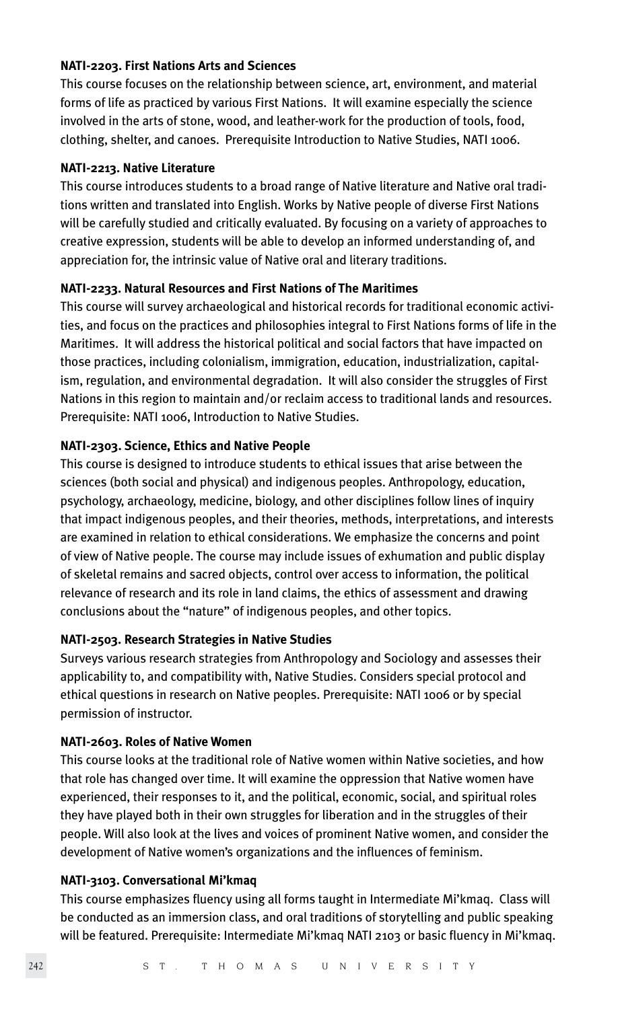#### **NATI-2203. First Nations Arts and Sciences**

This course focuses on the relationship between science, art, environment, and material forms of life as practiced by various First Nations. It will examine especially the science involved in the arts of stone, wood, and leather-work for the production of tools, food, clothing, shelter, and canoes. Prerequisite Introduction to Native Studies, NATI 1006.

#### **NATI-2213. Native Literature**

This course introduces students to a broad range of Native literature and Native oral traditions written and translated into English. Works by Native people of diverse First Nations will be carefully studied and critically evaluated. By focusing on a variety of approaches to creative expression, students will be able to develop an informed understanding of, and appreciation for, the intrinsic value of Native oral and literary traditions.

# **NATI-2233. Natural Resources and First Nations of The Maritimes**

This course will survey archaeological and historical records for traditional economic activities, and focus on the practices and philosophies integral to First Nations forms of life in the Maritimes. It will address the historical political and social factors that have impacted on those practices, including colonialism, immigration, education, industrialization, capitalism, regulation, and environmental degradation. It will also consider the struggles of First Nations in this region to maintain and/or reclaim access to traditional lands and resources. Prerequisite: NATI 1006, Introduction to Native Studies.

#### **NATI-2303. Science, Ethics and Native People**

This course is designed to introduce students to ethical issues that arise between the sciences (both social and physical) and indigenous peoples. Anthropology, education, psychology, archaeology, medicine, biology, and other disciplines follow lines of inquiry that impact indigenous peoples, and their theories, methods, interpretations, and interests are examined in relation to ethical considerations. We emphasize the concerns and point of view of Native people. The course may include issues of exhumation and public display of skeletal remains and sacred objects, control over access to information, the political relevance of research and its role in land claims, the ethics of assessment and drawing conclusions about the "nature" of indigenous peoples, and other topics.

# **NATI-2503. Research Strategies in Native Studies**

Surveys various research strategies from Anthropology and Sociology and assesses their applicability to, and compatibility with, Native Studies. Considers special protocol and ethical questions in research on Native peoples. Prerequisite: NATI 1006 or by special permission of instructor.

#### **NATI-2603. Roles of Native Women**

This course looks at the traditional role of Native women within Native societies, and how that role has changed over time. It will examine the oppression that Native women have experienced, their responses to it, and the political, economic, social, and spiritual roles they have played both in their own struggles for liberation and in the struggles of their people. Will also look at the lives and voices of prominent Native women, and consider the development of Native women's organizations and the influences of feminism.

#### **NATI-3103. Conversational Mi'kmaq**

This course emphasizes fluency using all forms taught in Intermediate Mi'kmaq. Class will be conducted as an immersion class, and oral traditions of storytelling and public speaking will be featured. Prerequisite: Intermediate Mi'kmaq NATI 2103 or basic fluency in Mi'kmaq.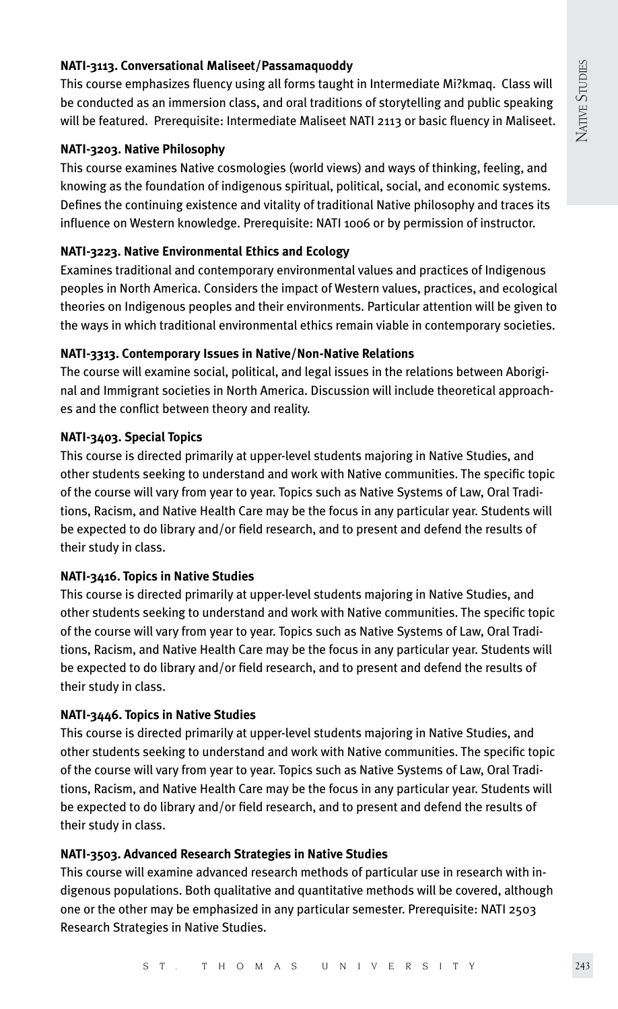# **NATI-3113. Conversational Maliseet/Passamaquoddy**

This course emphasizes fluency using all forms taught in Intermediate Mi?kmaq. Class will be conducted as an immersion class, and oral traditions of storytelling and public speaking will be featured. Prerequisite: Intermediate Maliseet NATI 2113 or basic fluency in Maliseet.

#### **NATI-3203. Native Philosophy**

This course examines Native cosmologies (world views) and ways of thinking, feeling, and knowing as the foundation of indigenous spiritual, political, social, and economic systems. Defines the continuing existence and vitality of traditional Native philosophy and traces its influence on Western knowledge. Prerequisite: NATI 1006 or by permission of instructor.

# **NATI-3223. Native Environmental Ethics and Ecology**

Examines traditional and contemporary environmental values and practices of Indigenous peoples in North America. Considers the impact of Western values, practices, and ecological theories on Indigenous peoples and their environments. Particular attention will be given to the ways in which traditional environmental ethics remain viable in contemporary societies.

# **NATI-3313. Contemporary Issues in Native/Non-Native Relations**

The course will examine social, political, and legal issues in the relations between Aboriginal and Immigrant societies in North America. Discussion will include theoretical approaches and the conflict between theory and reality.

# **NATI-3403. Special Topics**

This course is directed primarily at upper-level students majoring in Native Studies, and other students seeking to understand and work with Native communities. The specific topic of the course will vary from year to year. Topics such as Native Systems of Law, Oral Traditions, Racism, and Native Health Care may be the focus in any particular year. Students will be expected to do library and/or field research, and to present and defend the results of their study in class.

# **NATI-3416. Topics in Native Studies**

This course is directed primarily at upper-level students majoring in Native Studies, and other students seeking to understand and work with Native communities. The specific topic of the course will vary from year to year. Topics such as Native Systems of Law, Oral Traditions, Racism, and Native Health Care may be the focus in any particular year. Students will be expected to do library and/or field research, and to present and defend the results of their study in class.

# **NATI-3446. Topics in Native Studies**

This course is directed primarily at upper-level students majoring in Native Studies, and other students seeking to understand and work with Native communities. The specific topic of the course will vary from year to year. Topics such as Native Systems of Law, Oral Traditions, Racism, and Native Health Care may be the focus in any particular year. Students will be expected to do library and/or field research, and to present and defend the results of their study in class.

# **NATI-3503. Advanced Research Strategies in Native Studies**

This course will examine advanced research methods of particular use in research with indigenous populations. Both qualitative and quantitative methods will be covered, although one or the other may be emphasized in any particular semester. Prerequisite: NATI 2503 Research Strategies in Native Studies.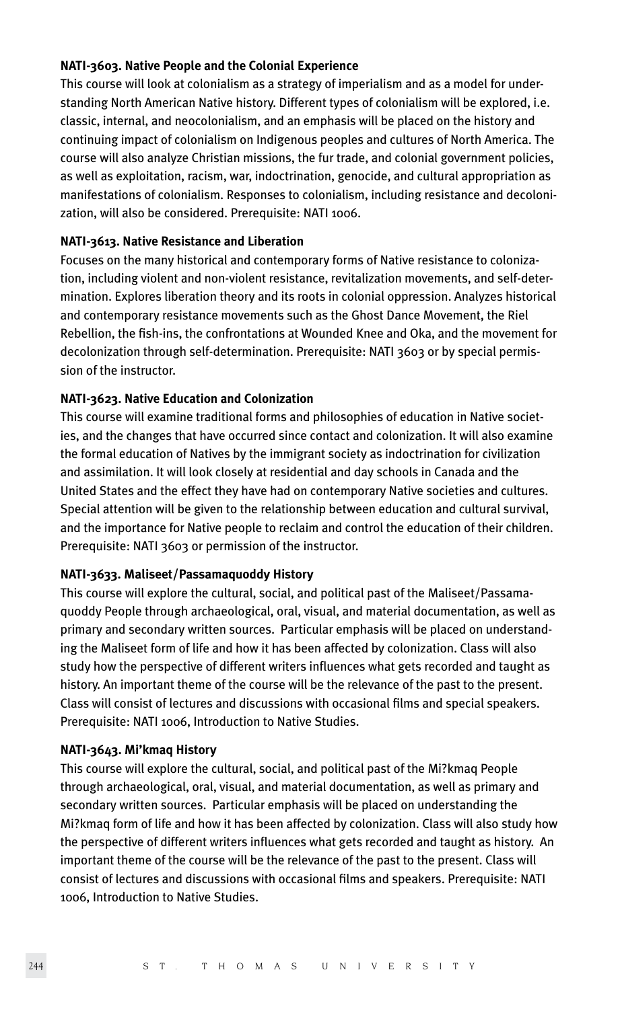#### **NATI-3603. Native People and the Colonial Experience**

This course will look at colonialism as a strategy of imperialism and as a model for understanding North American Native history. Different types of colonialism will be explored, i.e. classic, internal, and neocolonialism, and an emphasis will be placed on the history and continuing impact of colonialism on Indigenous peoples and cultures of North America. The course will also analyze Christian missions, the fur trade, and colonial government policies, as well as exploitation, racism, war, indoctrination, genocide, and cultural appropriation as manifestations of colonialism. Responses to colonialism, including resistance and decolonization, will also be considered. Prerequisite: NATI 1006.

#### **NATI-3613. Native Resistance and Liberation**

Focuses on the many historical and contemporary forms of Native resistance to colonization, including violent and non-violent resistance, revitalization movements, and self-determination. Explores liberation theory and its roots in colonial oppression. Analyzes historical and contemporary resistance movements such as the Ghost Dance Movement, the Riel Rebellion, the fish-ins, the confrontations at Wounded Knee and Oka, and the movement for decolonization through self-determination. Prerequisite: NATI 3603 or by special permission of the instructor.

# **NATI-3623. Native Education and Colonization**

This course will examine traditional forms and philosophies of education in Native societies, and the changes that have occurred since contact and colonization. It will also examine the formal education of Natives by the immigrant society as indoctrination for civilization and assimilation. It will look closely at residential and day schools in Canada and the United States and the effect they have had on contemporary Native societies and cultures. Special attention will be given to the relationship between education and cultural survival, and the importance for Native people to reclaim and control the education of their children. Prerequisite: NATI 3603 or permission of the instructor.

#### **NATI-3633. Maliseet/Passamaquoddy History**

This course will explore the cultural, social, and political past of the Maliseet/Passamaquoddy People through archaeological, oral, visual, and material documentation, as well as primary and secondary written sources. Particular emphasis will be placed on understanding the Maliseet form of life and how it has been affected by colonization. Class will also study how the perspective of different writers influences what gets recorded and taught as history. An important theme of the course will be the relevance of the past to the present. Class will consist of lectures and discussions with occasional films and special speakers. Prerequisite: NATI 1006, Introduction to Native Studies.

#### **NATI-3643. Mi'kmaq History**

This course will explore the cultural, social, and political past of the Mi?kmaq People through archaeological, oral, visual, and material documentation, as well as primary and secondary written sources. Particular emphasis will be placed on understanding the Mi?kmaq form of life and how it has been affected by colonization. Class will also study how the perspective of different writers influences what gets recorded and taught as history. An important theme of the course will be the relevance of the past to the present. Class will consist of lectures and discussions with occasional films and speakers. Prerequisite: NATI 1006, Introduction to Native Studies.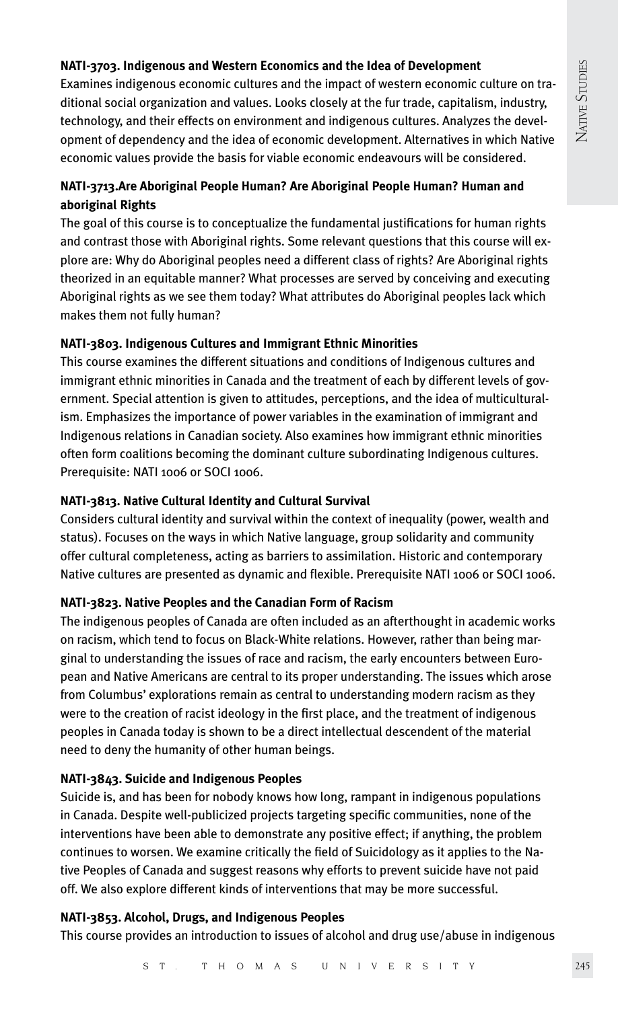# **NATI-3703. Indigenous and Western Economics and the Idea of Development**

Examines indigenous economic cultures and the impact of western economic culture on traditional social organization and values. Looks closely at the fur trade, capitalism, industry, technology, and their effects on environment and indigenous cultures. Analyzes the development of dependency and the idea of economic development. Alternatives in which Native economic values provide the basis for viable economic endeavours will be considered.

# **NATI-3713.Are Aboriginal People Human? Are Aboriginal People Human? Human and aboriginal Rights**

The goal of this course is to conceptualize the fundamental justifications for human rights and contrast those with Aboriginal rights. Some relevant questions that this course will explore are: Why do Aboriginal peoples need a different class of rights? Are Aboriginal rights theorized in an equitable manner? What processes are served by conceiving and executing Aboriginal rights as we see them today? What attributes do Aboriginal peoples lack which makes them not fully human?

# **NATI-3803. Indigenous Cultures and Immigrant Ethnic Minorities**

This course examines the different situations and conditions of Indigenous cultures and immigrant ethnic minorities in Canada and the treatment of each by different levels of government. Special attention is given to attitudes, perceptions, and the idea of multiculturalism. Emphasizes the importance of power variables in the examination of immigrant and Indigenous relations in Canadian society. Also examines how immigrant ethnic minorities often form coalitions becoming the dominant culture subordinating Indigenous cultures. Prerequisite: NATI 1006 or SOCI 1006.

# **NATI-3813. Native Cultural Identity and Cultural Survival**

Considers cultural identity and survival within the context of inequality (power, wealth and status). Focuses on the ways in which Native language, group solidarity and community offer cultural completeness, acting as barriers to assimilation. Historic and contemporary Native cultures are presented as dynamic and flexible. Prerequisite NATI 1006 or SOCI 1006.

# **NATI-3823. Native Peoples and the Canadian Form of Racism**

The indigenous peoples of Canada are often included as an afterthought in academic works on racism, which tend to focus on Black-White relations. However, rather than being marginal to understanding the issues of race and racism, the early encounters between European and Native Americans are central to its proper understanding. The issues which arose from Columbus' explorations remain as central to understanding modern racism as they were to the creation of racist ideology in the first place, and the treatment of indigenous peoples in Canada today is shown to be a direct intellectual descendent of the material need to deny the humanity of other human beings.

# **NATI-3843. Suicide and Indigenous Peoples**

Suicide is, and has been for nobody knows how long, rampant in indigenous populations in Canada. Despite well-publicized projects targeting specific communities, none of the interventions have been able to demonstrate any positive effect; if anything, the problem continues to worsen. We examine critically the field of Suicidology as it applies to the Native Peoples of Canada and suggest reasons why efforts to prevent suicide have not paid off. We also explore different kinds of interventions that may be more successful.

# **NATI-3853. Alcohol, Drugs, and Indigenous Peoples**

This course provides an introduction to issues of alcohol and drug use/abuse in indigenous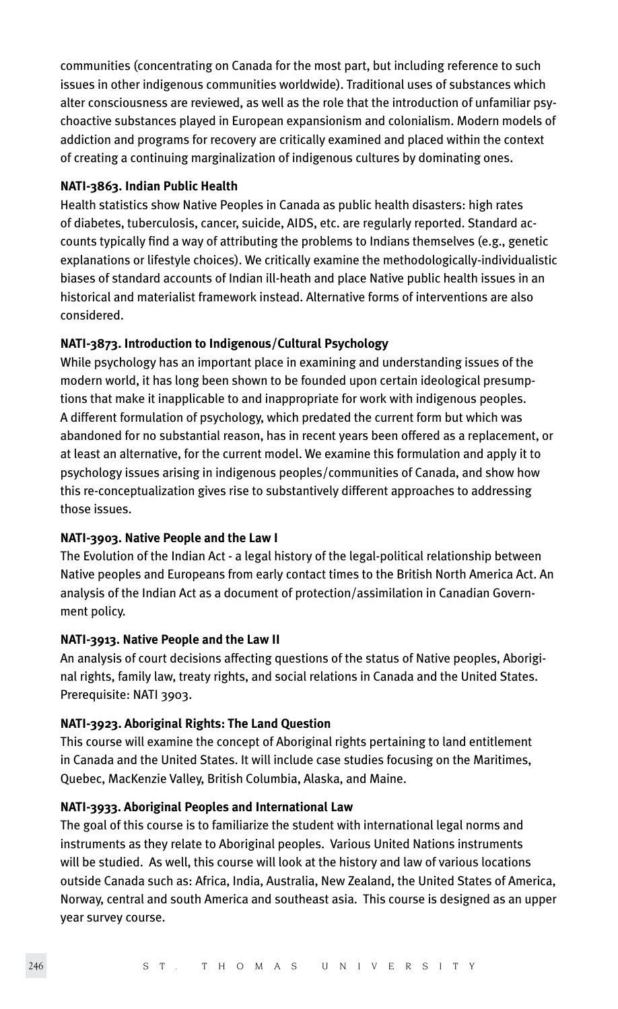communities (concentrating on Canada for the most part, but including reference to such issues in other indigenous communities worldwide). Traditional uses of substances which alter consciousness are reviewed, as well as the role that the introduction of unfamiliar psychoactive substances played in European expansionism and colonialism. Modern models of addiction and programs for recovery are critically examined and placed within the context of creating a continuing marginalization of indigenous cultures by dominating ones.

# **NATI-3863. Indian Public Health**

Health statistics show Native Peoples in Canada as public health disasters: high rates of diabetes, tuberculosis, cancer, suicide, AIDS, etc. are regularly reported. Standard accounts typically find a way of attributing the problems to Indians themselves (e.g., genetic explanations or lifestyle choices). We critically examine the methodologically-individualistic biases of standard accounts of Indian ill-heath and place Native public health issues in an historical and materialist framework instead. Alternative forms of interventions are also considered.

# **NATI-3873. Introduction to Indigenous/Cultural Psychology**

While psychology has an important place in examining and understanding issues of the modern world, it has long been shown to be founded upon certain ideological presumptions that make it inapplicable to and inappropriate for work with indigenous peoples. A different formulation of psychology, which predated the current form but which was abandoned for no substantial reason, has in recent years been offered as a replacement, or at least an alternative, for the current model. We examine this formulation and apply it to psychology issues arising in indigenous peoples/communities of Canada, and show how this re-conceptualization gives rise to substantively different approaches to addressing those issues.

# **NATI-3903. Native People and the Law I**

The Evolution of the Indian Act - a legal history of the legal-political relationship between Native peoples and Europeans from early contact times to the British North America Act. An analysis of the Indian Act as a document of protection/assimilation in Canadian Government policy.

# **NATI-3913. Native People and the Law II**

An analysis of court decisions affecting questions of the status of Native peoples, Aboriginal rights, family law, treaty rights, and social relations in Canada and the United States. Prerequisite: NATI 3903.

# **NATI-3923. Aboriginal Rights: The Land Question**

This course will examine the concept of Aboriginal rights pertaining to land entitlement in Canada and the United States. It will include case studies focusing on the Maritimes, Quebec, MacKenzie Valley, British Columbia, Alaska, and Maine.

# **NATI-3933. Aboriginal Peoples and International Law**

The goal of this course is to familiarize the student with international legal norms and instruments as they relate to Aboriginal peoples. Various United Nations instruments will be studied. As well, this course will look at the history and law of various locations outside Canada such as: Africa, India, Australia, New Zealand, the United States of America, Norway, central and south America and southeast asia. This course is designed as an upper year survey course.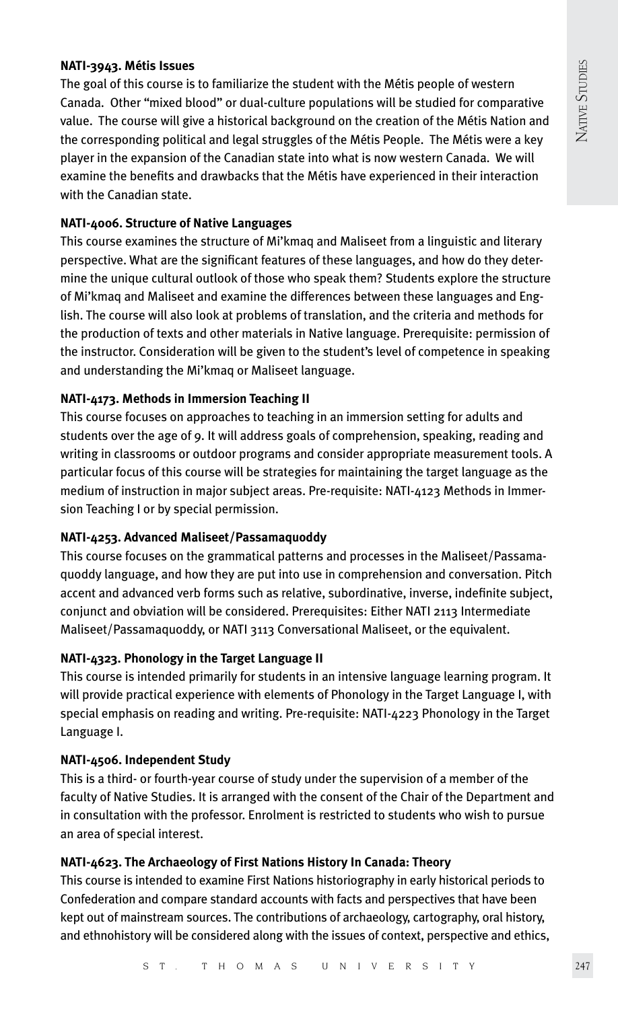# **NATI-3943. Métis Issues**

The goal of this course is to familiarize the student with the Métis people of western Canada. Other "mixed blood" or dual-culture populations will be studied for comparative value. The course will give a historical background on the creation of the Métis Nation and the corresponding political and legal struggles of the Métis People. The Métis were a key player in the expansion of the Canadian state into what is now western Canada. We will examine the benefits and drawbacks that the Métis have experienced in their interaction with the Canadian state.

# **NATI-4006. Structure of Native Languages**

This course examines the structure of Mi'kmaq and Maliseet from a linguistic and literary perspective. What are the significant features of these languages, and how do they determine the unique cultural outlook of those who speak them? Students explore the structure of Mi'kmaq and Maliseet and examine the differences between these languages and English. The course will also look at problems of translation, and the criteria and methods for the production of texts and other materials in Native language. Prerequisite: permission of the instructor. Consideration will be given to the student's level of competence in speaking and understanding the Mi'kmaq or Maliseet language.

# **NATI-4173. Methods in Immersion Teaching II**

This course focuses on approaches to teaching in an immersion setting for adults and students over the age of 9. It will address goals of comprehension, speaking, reading and writing in classrooms or outdoor programs and consider appropriate measurement tools. A particular focus of this course will be strategies for maintaining the target language as the medium of instruction in major subject areas. Pre-requisite: NATI-4123 Methods in Immersion Teaching I or by special permission.

# **NATI-4253. Advanced Maliseet/Passamaquoddy**

This course focuses on the grammatical patterns and processes in the Maliseet/Passamaquoddy language, and how they are put into use in comprehension and conversation. Pitch accent and advanced verb forms such as relative, subordinative, inverse, indefinite subject, conjunct and obviation will be considered. Prerequisites: Either NATI 2113 Intermediate Maliseet/Passamaquoddy, or NATI 3113 Conversational Maliseet, or the equivalent.

# **NATI-4323. Phonology in the Target Language II**

This course is intended primarily for students in an intensive language learning program. It will provide practical experience with elements of Phonology in the Target Language I, with special emphasis on reading and writing. Pre-requisite: NATI-4223 Phonology in the Target Language I.

# **NATI-4506. Independent Study**

This is a third- or fourth-year course of study under the supervision of a member of the faculty of Native Studies. It is arranged with the consent of the Chair of the Department and in consultation with the professor. Enrolment is restricted to students who wish to pursue an area of special interest.

# **NATI-4623. The Archaeology of First Nations History In Canada: Theory**

This course is intended to examine First Nations historiography in early historical periods to Confederation and compare standard accounts with facts and perspectives that have been kept out of mainstream sources. The contributions of archaeology, cartography, oral history, and ethnohistory will be considered along with the issues of context, perspective and ethics,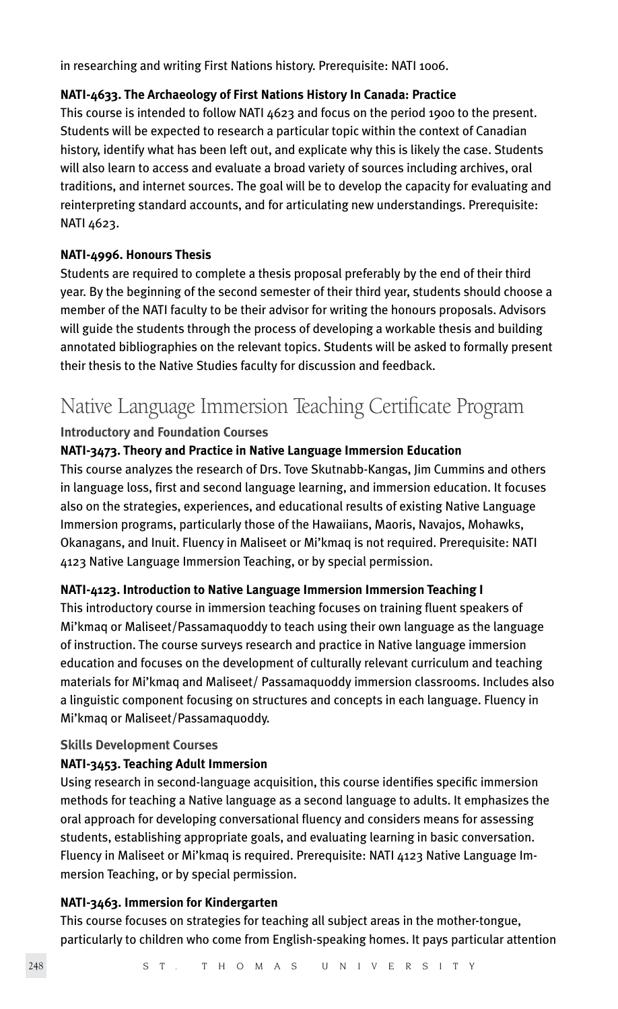in researching and writing First Nations history. Prerequisite: NATI 1006.

# **NATI-4633. The Archaeology of First Nations History In Canada: Practice**

This course is intended to follow NATI 4623 and focus on the period 1900 to the present. Students will be expected to research a particular topic within the context of Canadian history, identify what has been left out, and explicate why this is likely the case. Students will also learn to access and evaluate a broad variety of sources including archives, oral traditions, and internet sources. The goal will be to develop the capacity for evaluating and reinterpreting standard accounts, and for articulating new understandings. Prerequisite: NATI 4623.

# **NATI-4996. Honours Thesis**

Students are required to complete a thesis proposal preferably by the end of their third year. By the beginning of the second semester of their third year, students should choose a member of the NATI faculty to be their advisor for writing the honours proposals. Advisors will guide the students through the process of developing a workable thesis and building annotated bibliographies on the relevant topics. Students will be asked to formally present their thesis to the Native Studies faculty for discussion and feedback.

# Native Language Immersion Teaching Certificate Program

# **Introductory and Foundation Courses**

# **NATI-3473. Theory and Practice in Native Language Immersion Education**

This course analyzes the research of Drs. Tove Skutnabb-Kangas, Jim Cummins and others in language loss, first and second language learning, and immersion education. It focuses also on the strategies, experiences, and educational results of existing Native Language Immersion programs, particularly those of the Hawaiians, Maoris, Navajos, Mohawks, Okanagans, and Inuit. Fluency in Maliseet or Mi'kmaq is not required. Prerequisite: NATI 4123 Native Language Immersion Teaching, or by special permission.

# **NATI-4123. Introduction to Native Language Immersion Immersion Teaching I**

This introductory course in immersion teaching focuses on training fluent speakers of Mi'kmaq or Maliseet/Passamaquoddy to teach using their own language as the language of instruction. The course surveys research and practice in Native language immersion education and focuses on the development of culturally relevant curriculum and teaching materials for Mi'kmaq and Maliseet/ Passamaquoddy immersion classrooms. Includes also a linguistic component focusing on structures and concepts in each language. Fluency in Mi'kmaq or Maliseet/Passamaquoddy.

# **Skills Development Courses**

# **NATI-3453. Teaching Adult Immersion**

Using research in second-language acquisition, this course identifies specific immersion methods for teaching a Native language as a second language to adults. It emphasizes the oral approach for developing conversational fluency and considers means for assessing students, establishing appropriate goals, and evaluating learning in basic conversation. Fluency in Maliseet or Mi'kmaq is required. Prerequisite: NATI 4123 Native Language Immersion Teaching, or by special permission.

# **NATI-3463. Immersion for Kindergarten**

This course focuses on strategies for teaching all subject areas in the mother-tongue, particularly to children who come from English-speaking homes. It pays particular attention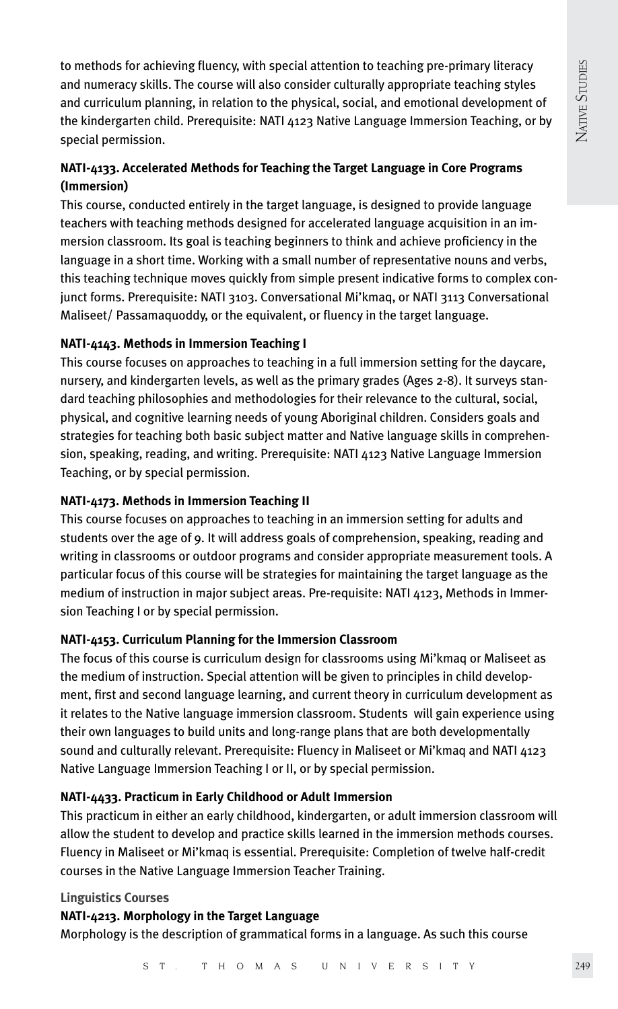to methods for achieving fluency, with special attention to teaching pre-primary literacy and numeracy skills. The course will also consider culturally appropriate teaching styles and curriculum planning, in relation to the physical, social, and emotional development of the kindergarten child. Prerequisite: NATI 4123 Native Language Immersion Teaching, or by special permission.

# **NATI-4133. Accelerated Methods for Teaching the Target Language in Core Programs (Immersion)**

This course, conducted entirely in the target language, is designed to provide language teachers with teaching methods designed for accelerated language acquisition in an immersion classroom. Its goal is teaching beginners to think and achieve proficiency in the language in a short time. Working with a small number of representative nouns and verbs, this teaching technique moves quickly from simple present indicative forms to complex conjunct forms. Prerequisite: NATI 3103. Conversational Mi'kmaq, or NATI 3113 Conversational Maliseet/ Passamaquoddy, or the equivalent, or fluency in the target language.

# **NATI-4143. Methods in Immersion Teaching I**

This course focuses on approaches to teaching in a full immersion setting for the daycare, nursery, and kindergarten levels, as well as the primary grades (Ages 2-8). It surveys standard teaching philosophies and methodologies for their relevance to the cultural, social, physical, and cognitive learning needs of young Aboriginal children. Considers goals and strategies for teaching both basic subject matter and Native language skills in comprehension, speaking, reading, and writing. Prerequisite: NATI 4123 Native Language Immersion Teaching, or by special permission.

# **NATI-4173. Methods in Immersion Teaching II**

This course focuses on approaches to teaching in an immersion setting for adults and students over the age of 9. It will address goals of comprehension, speaking, reading and writing in classrooms or outdoor programs and consider appropriate measurement tools. A particular focus of this course will be strategies for maintaining the target language as the medium of instruction in major subject areas. Pre-requisite: NATI 4123, Methods in Immersion Teaching I or by special permission.

# **NATI-4153. Curriculum Planning for the Immersion Classroom**

The focus of this course is curriculum design for classrooms using Mi'kmaq or Maliseet as the medium of instruction. Special attention will be given to principles in child development, first and second language learning, and current theory in curriculum development as it relates to the Native language immersion classroom. Students will gain experience using their own languages to build units and long-range plans that are both developmentally sound and culturally relevant. Prerequisite: Fluency in Maliseet or Mi'kmaq and NATI 4123 Native Language Immersion Teaching I or II, or by special permission.

# **NATI-4433. Practicum in Early Childhood or Adult Immersion**

This practicum in either an early childhood, kindergarten, or adult immersion classroom will allow the student to develop and practice skills learned in the immersion methods courses. Fluency in Maliseet or Mi'kmaq is essential. Prerequisite: Completion of twelve half-credit courses in the Native Language Immersion Teacher Training.

# **Linguistics Courses**

**NATI-4213. Morphology in the Target Language**

Morphology is the description of grammatical forms in a language. As such this course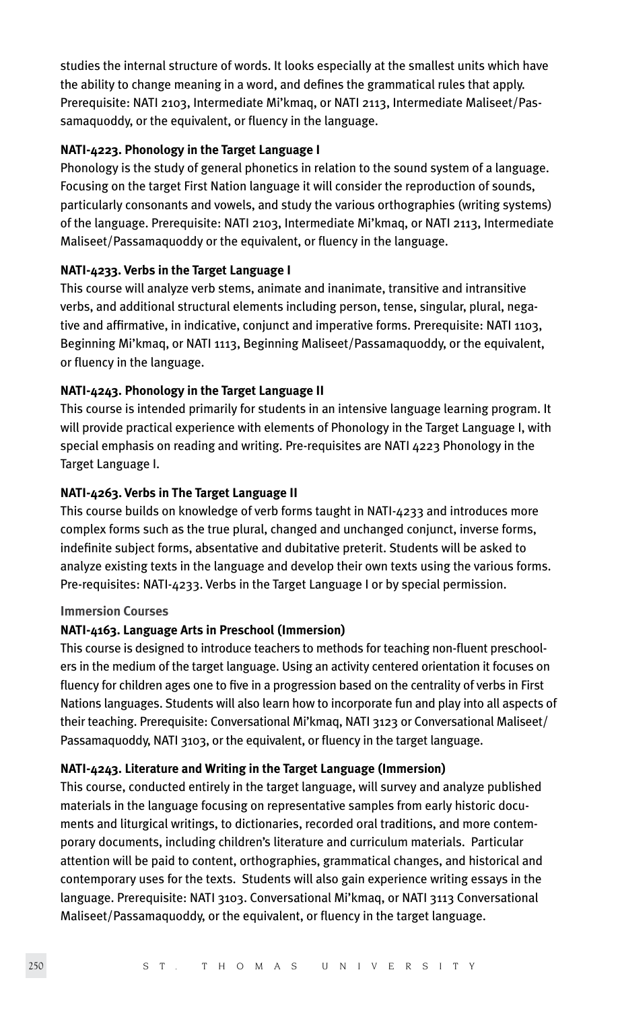studies the internal structure of words. It looks especially at the smallest units which have the ability to change meaning in a word, and defines the grammatical rules that apply. Prerequisite: NATI 2103, Intermediate Mi'kmaq, or NATI 2113, Intermediate Maliseet/Passamaquoddy, or the equivalent, or fluency in the language.

# **NATI-4223. Phonology in the Target Language I**

Phonology is the study of general phonetics in relation to the sound system of a language. Focusing on the target First Nation language it will consider the reproduction of sounds, particularly consonants and vowels, and study the various orthographies (writing systems) of the language. Prerequisite: NATI 2103, Intermediate Mi'kmaq, or NATI 2113, Intermediate Maliseet/Passamaquoddy or the equivalent, or fluency in the language.

# **NATI-4233. Verbs in the Target Language I**

This course will analyze verb stems, animate and inanimate, transitive and intransitive verbs, and additional structural elements including person, tense, singular, plural, negative and affirmative, in indicative, conjunct and imperative forms. Prerequisite: NATI 1103, Beginning Mi'kmaq, or NATI 1113, Beginning Maliseet/Passamaquoddy, or the equivalent, or fluency in the language.

# **NATI-4243. Phonology in the Target Language II**

This course is intended primarily for students in an intensive language learning program. It will provide practical experience with elements of Phonology in the Target Language I, with special emphasis on reading and writing. Pre-requisites are NATI 4223 Phonology in the Target Language I.

# **NATI-4263. Verbs in The Target Language II**

This course builds on knowledge of verb forms taught in NATI-4233 and introduces more complex forms such as the true plural, changed and unchanged conjunct, inverse forms, indefinite subject forms, absentative and dubitative preterit. Students will be asked to analyze existing texts in the language and develop their own texts using the various forms. Pre-requisites: NATI-4233. Verbs in the Target Language I or by special permission.

# **Immersion Courses**

# **NATI-4163. Language Arts in Preschool (Immersion)**

This course is designed to introduce teachers to methods for teaching non-fluent preschoolers in the medium of the target language. Using an activity centered orientation it focuses on fluency for children ages one to five in a progression based on the centrality of verbs in First Nations languages. Students will also learn how to incorporate fun and play into all aspects of their teaching. Prerequisite: Conversational Mi'kmaq, NATI 3123 or Conversational Maliseet/ Passamaquoddy, NATI 3103, or the equivalent, or fluency in the target language.

# **NATI-4243. Literature and Writing in the Target Language (Immersion)**

This course, conducted entirely in the target language, will survey and analyze published materials in the language focusing on representative samples from early historic documents and liturgical writings, to dictionaries, recorded oral traditions, and more contemporary documents, including children's literature and curriculum materials. Particular attention will be paid to content, orthographies, grammatical changes, and historical and contemporary uses for the texts. Students will also gain experience writing essays in the language. Prerequisite: NATI 3103. Conversational Mi'kmaq, or NATI 3113 Conversational Maliseet/Passamaquoddy, or the equivalent, or fluency in the target language.